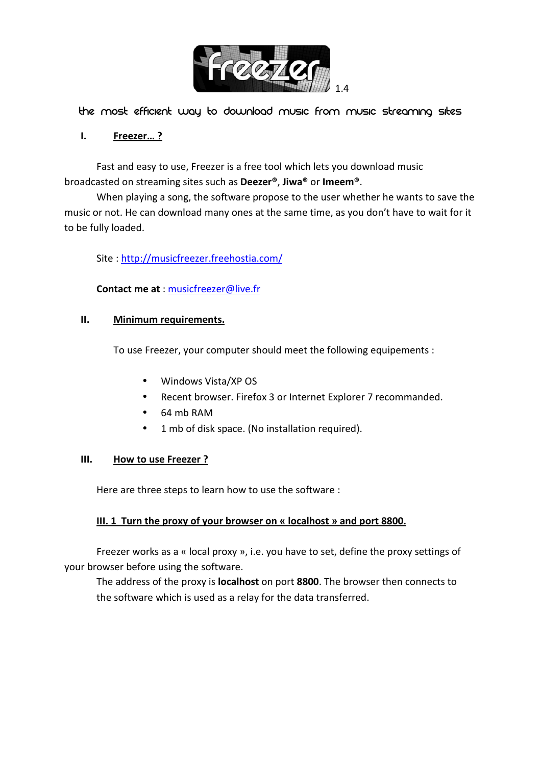

The most efficient way to download music from music streaming sites

## **I. Freezer… ?**

Fast and easy to use, Freezer is a free tool which lets you download music broadcasted on streaming sites such as **Deezer®**, **Jiwa®** or **Imeem®**.

When playing a song, the software propose to the user whether he wants to save the music or not. He can download many ones at the same time, as you don't have to wait for it to be fully loaded.

Site : http://musicfreezer.freehostia.com/

**Contact me at** : musicfreezer@live.fr

## **II. Minimum requirements.**

To use Freezer, your computer should meet the following equipements :

- Windows Vista/XP OS
- Recent browser. Firefox 3 or Internet Explorer 7 recommanded.
- 64 mb RAM
- 1 mb of disk space. (No installation required).

## **III. How to use Freezer ?**

Here are three steps to learn how to use the software :

## **III. 1 Turn the proxy of your browser on « localhost » and port 8800.**

Freezer works as a « local proxy », i.e. you have to set, define the proxy settings of your browser before using the software.

The address of the proxy is **localhost** on port **8800**. The browser then connects to the software which is used as a relay for the data transferred.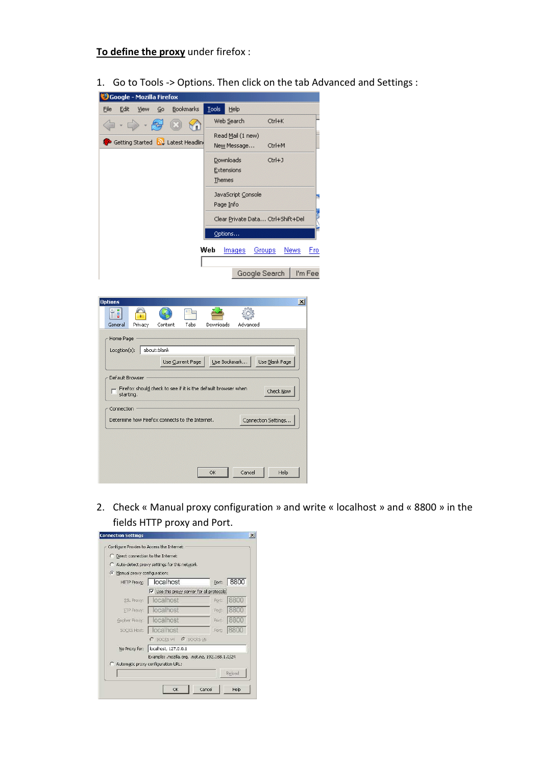**To define the proxy** under firefox :

1. Go to Tools -> Options. Then click on the tab Advanced and Settings :

| Google - Mozilla Firefox                                                                           |                                               |
|----------------------------------------------------------------------------------------------------|-----------------------------------------------|
| File<br><b>Bookmarks</b><br>Edit<br>View<br>Go                                                     | <b>Tools</b><br>Help                          |
|                                                                                                    | Web Search<br>Ctrl+K                          |
|                                                                                                    | Read Mail (1 new)                             |
| Getting Started <b>by</b> Latest Headling                                                          | New Message<br>Ctrl+M                         |
|                                                                                                    | Downloads<br>$Ctrl + J$                       |
|                                                                                                    | Extensions                                    |
|                                                                                                    | Themes                                        |
|                                                                                                    | JavaScript Console                            |
|                                                                                                    | Page Info                                     |
|                                                                                                    | Clear Private Data Ctrl+Shift+Del             |
|                                                                                                    | Options                                       |
|                                                                                                    | Web<br>News<br>Images<br>Groups<br><u>Fro</u> |
|                                                                                                    |                                               |
|                                                                                                    | Google Search<br>I'm Fee                      |
|                                                                                                    |                                               |
| <b>Options</b>                                                                                     | $\vert x \vert$                               |
| t i<br>ŋ.                                                                                          |                                               |
| Tabs<br>General<br>Content<br>Privacy                                                              | Downloads<br>Advanced                         |
| Home Page                                                                                          |                                               |
| about:blank<br>Location(s):                                                                        |                                               |
| Use Current Page                                                                                   | Use Bookmark<br>Use Blank Page                |
|                                                                                                    |                                               |
| Default Browser<br>Firefox should check to see if it is the default browser when<br>г<br>starting. | Check Now                                     |
|                                                                                                    |                                               |
|                                                                                                    |                                               |
| Connection<br>Determine how Firefox connects to the Internet.                                      | Connection Settings                           |

2. Check « Manual proxy configuration » and write « localhost » and « 8800 » in the fields HTTP proxy and Port.

OK Cancel Help

| c                                         | Auto-detect proxy settings for this network.   |       |      |
|-------------------------------------------|------------------------------------------------|-------|------|
| Manual proxy configuration:<br>$\epsilon$ |                                                |       |      |
| <b>HTTP Proxy:</b>                        | localhost                                      | Port: | 8800 |
|                                           | Use this proxy server for all protocols!       |       |      |
| SSL Proxy:                                | localhost                                      | Port: | 8800 |
| <b>ETP Proxy:</b>                         | localhost                                      | Port: | 8800 |
| Gopher Proxy:                             | localhost                                      | Port: | 1880 |
| SOCKS Host:                               | localhost                                      | Port  | 8800 |
|                                           | $C$ SOCKS v4 $C$ SOCKS v5                      |       |      |
| No Proxy for:                             | localhost, 127.0.0.1                           |       |      |
|                                           | Example: .mozilla.org, .net.nz, 192.168.1.0/24 |       |      |
|                                           | C Automatic proxy configuration URL:           |       |      |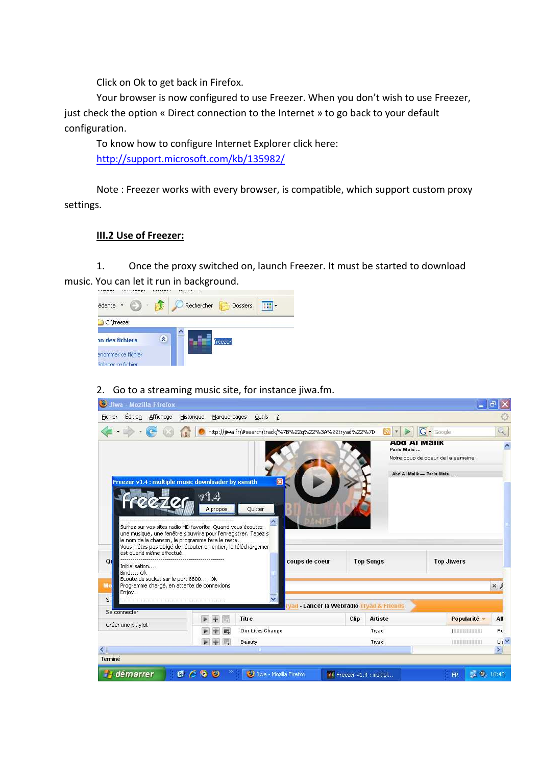Click on Ok to get back in Firefox.

Your browser is now configured to use Freezer. When you don't wish to use Freezer, just check the option « Direct connection to the Internet » to go back to your default configuration.

To know how to configure Internet Explorer click here: http://support.microsoft.com/kb/135982/

Note : Freezer works with every browser, is compatible, which support custom proxy settings.

## **III.2 Use of Freezer:**

1. Once the proxy switched on, launch Freezer. It must be started to download music. You can let it run in background.

|                                           |   | <b><i>SAMPANE CO.</i></b> |
|-------------------------------------------|---|---------------------------|
| édente *                                  |   | Rechercher<br>Dossiers    |
| C:\freezer                                |   |                           |
| on des fichiers                           | × | freezer                   |
| enommer ce fichier<br>éplacer ce fichier. |   |                           |

## 2. Go to a streaming music site, for instance jiwa.fm.

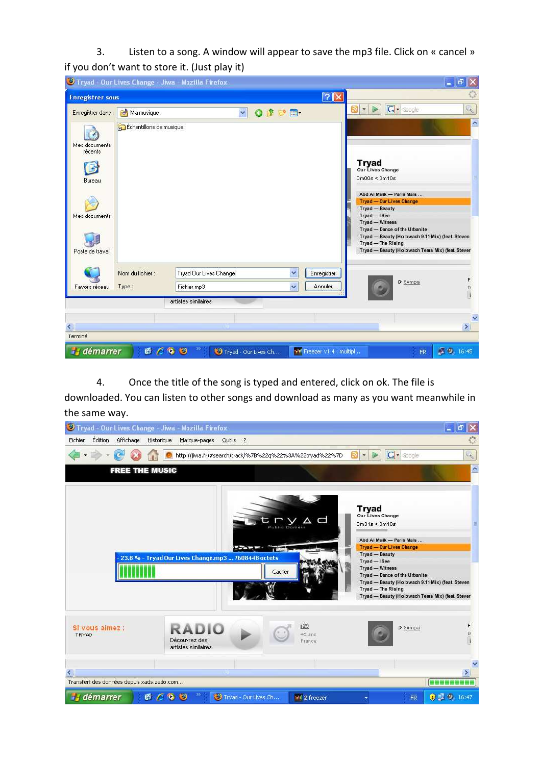3. Listen to a song. A window will appear to save the mp3 file. Click on « cancel » if you don't want to store it. (Just play it)

|                          |                         | Tryad - Our Lives Change - Jiwa - Mozilla Firefox |                 |                           |                                                                                                                                                                                 | $\Box$ e<br>$\  \times$    |
|--------------------------|-------------------------|---------------------------------------------------|-----------------|---------------------------|---------------------------------------------------------------------------------------------------------------------------------------------------------------------------------|----------------------------|
| <b>Enregistrer</b> sous  |                         |                                                   |                 | $\sqrt{?}$                |                                                                                                                                                                                 | $\ddot{\odot}$             |
| Enregistrer dans :       | Ma musique              | $\checkmark$                                      | $O$ $D$ $D$ $D$ |                           | $G \cdot$ Google<br>5X)<br>$\mathcal{R}$<br>P                                                                                                                                   | $\mathcal{L}_{\mathbf{c}}$ |
| Mes documents<br>récents | Échantillons de musique |                                                   |                 |                           |                                                                                                                                                                                 | $\hat{\phantom{a}}$        |
| 6<br>Bureau              |                         |                                                   |                 |                           | Tryad<br>Our Lives Change<br>$0m00s \leq 3m10s$                                                                                                                                 |                            |
| Mes documents            |                         |                                                   |                 |                           | Abd Al Malik - Paris Mais<br>Tryad - Our Lives Change<br><b>Tryad - Beauty</b><br>Tryad-I See                                                                                   |                            |
| Poste de travail         |                         |                                                   |                 |                           | Tryad - Witness<br>Tryad - Dance of the Urbanite<br>Tryad - Beauty (Holowach 9.11 Mix) (feat. Steven<br>Tryad - The Rising<br>Tryad - Beauty (Holowach Tears Mix) (feat. Stever |                            |
|                          | Nom du fichier :        | Tryad Our Lives Change                            | $\checkmark$    | Enregistrer               | > Sympa                                                                                                                                                                         | F                          |
| Favoris réseau           | Type:                   | Fichier mp3<br>artistes similaires                | Ÿ               | Annuler                   |                                                                                                                                                                                 | B                          |
|                          |                         |                                                   |                 |                           |                                                                                                                                                                                 |                            |
| $\leq$                   |                         | <b>LINE</b>                                       |                 |                           |                                                                                                                                                                                 | $\blacktriangleright$      |
| Terminé                  |                         |                                                   |                 |                           |                                                                                                                                                                                 |                            |
| démarrer                 |                         | 6690<br>Tryad - Our Lives Ch                      |                 | FF Freezer v1.4 : multipl | <b>FR</b>                                                                                                                                                                       | ■ 9, 16:45                 |

4. Once the title of the song is typed and entered, click on ok. The file is

downloaded. You can listen to other songs and download as many as you want meanwhile in the same way.

| S Tryad - Our Lives Change - Jiwa - Mozilla Firefox |                                                               |                         |                                                                                                                                                                                                                                                                                                                                              | $ \sigma$                |
|-----------------------------------------------------|---------------------------------------------------------------|-------------------------|----------------------------------------------------------------------------------------------------------------------------------------------------------------------------------------------------------------------------------------------------------------------------------------------------------------------------------------------|--------------------------|
| Édition<br>Fichier<br>Affichage                     | Historique<br>Marque-pages Outils ?                           |                         |                                                                                                                                                                                                                                                                                                                                              |                          |
|                                                     | http://jiwa.fr/#search/track/%7B%22q%22%3A%22tryad%22%7D      | 5N                      | G · Google<br>×                                                                                                                                                                                                                                                                                                                              | $\mathcal{A}_\mathbf{c}$ |
| <b>FREE THE MUSIC</b>                               |                                                               |                         |                                                                                                                                                                                                                                                                                                                                              | $\hat{\phantom{a}}$      |
|                                                     | 23.8 % - Tryad Our Lives Change.mp3  7608448 octets<br>Cacher | try Ad                  | <b>Tryad</b><br>Our Lives Change<br>$0m31s \leq 3m10s$<br>Abd Al Malik - Paris Mais<br><b>Tryad - Our Lives Change</b><br>Tryad - Beauty<br>Tryad - I See<br>Tryad - Witness<br>Tryad - Dance of the Urbanite<br>Tryad - Beauty (Holowach 9.11 Mix) (feat. Steven<br>Tryad - The Rising<br>Tryad - Beauty (Holowach Tears Mix) (feat. Stever |                          |
| Si vous aimez :<br>TRYAD                            | <b>RADIO</b><br>Découvrez des<br>artistes similaires          | r29<br>46 ans<br>France | > Sympa                                                                                                                                                                                                                                                                                                                                      | F                        |
| $\leq$                                              | <b>THE</b>                                                    |                         |                                                                                                                                                                                                                                                                                                                                              | $\rightarrow$            |
| Transfert des données depuis xads.zedo.com          |                                                               |                         |                                                                                                                                                                                                                                                                                                                                              |                          |
| il démarrer                                         | $\gg$<br>6600<br>Tryad - Our Lives Ch                         | <b>Milli</b> 2 freezer  | <b>FR</b>                                                                                                                                                                                                                                                                                                                                    | 0.19, 16:47              |